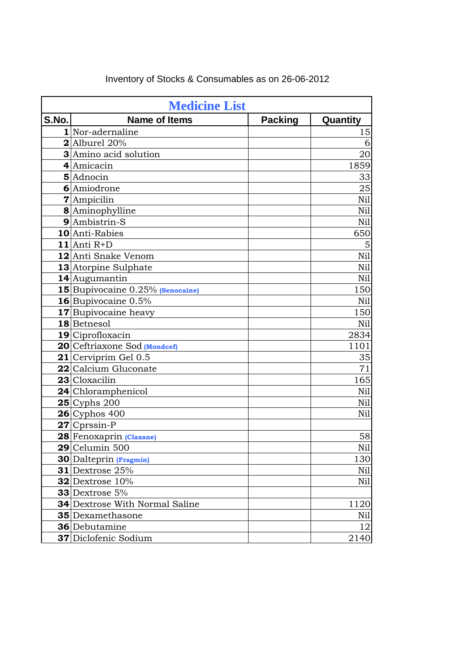| <b>Medicine List</b> |                                       |                |                |
|----------------------|---------------------------------------|----------------|----------------|
| S.No.                | <b>Name of Items</b>                  | <b>Packing</b> | Quantity       |
|                      | 1 Nor-adernaline                      |                | 15             |
|                      | $2$ Alburel 20%                       |                | 6              |
|                      | 3 Amino acid solution                 |                | 20             |
|                      | 4 Amicacin                            |                | 1859           |
|                      | $5$ Adnocin                           |                | 33             |
|                      | 6 Amiodrone                           |                | 25             |
|                      | $7$ Ampicilin                         |                | Nil            |
|                      | <b>8</b> Aminophylline                |                | Nil            |
|                      | 9 Ambistrin-S                         |                | Nil            |
|                      | 10 Anti-Rabies                        |                | 650            |
|                      | $11$ Anti R+D                         |                | $\overline{5}$ |
|                      | 12 Anti Snake Venom                   |                | Nil            |
|                      | 13 Atorpine Sulphate                  |                | Nil            |
|                      | 14 Augumantin                         |                | Nil            |
|                      | 15 Bupivocaine 0.25% (Senocaine)      |                | 150            |
|                      | 16 Bupivocaine 0.5%                   |                | Nil            |
|                      | 17 Bupivocaine heavy                  |                | 150            |
|                      | 18 Betnesol                           |                | Nil            |
|                      | 19 Ciprofloxacin                      |                | 2834           |
|                      | 20 Ceftriaxone Sod (Mondcef)          |                | 1101           |
|                      | $21$ Cerviprim Gel 0.5                |                | 35             |
|                      | <b>22</b> Calcium Gluconate           |                | 71             |
|                      | 23 Cloxacilin                         |                | 165            |
|                      | 24 Chloramphenicol                    |                | Nil            |
|                      | $25$ Cyphs 200                        |                | Nil            |
|                      | $26$ Cyphos 400                       |                | Nil            |
|                      | 27 Cprssin-P                          |                |                |
|                      | 28 Fenoxaprin (Claxane)               |                | 58             |
|                      | $29$ Celumin 500                      |                | Nil            |
|                      | <b>30</b> Dalteprin (Fragmin)         |                | 130            |
|                      | $31$ Dextrose 25%                     |                | Nil            |
|                      | $32$ Dextrose $10\%$                  |                | Nil            |
|                      | 33 Dextrose 5%                        |                |                |
|                      | <b>34</b> Dextrose With Normal Saline |                | 1120           |
|                      | <b>35</b> Dexamethasone               |                | Nil            |
|                      | <b>36</b> Debutamine                  |                | 12             |
|                      | 37 Diclofenic Sodium                  |                | 2140           |

## Inventory of Stocks & Consumables as on 26-06-2012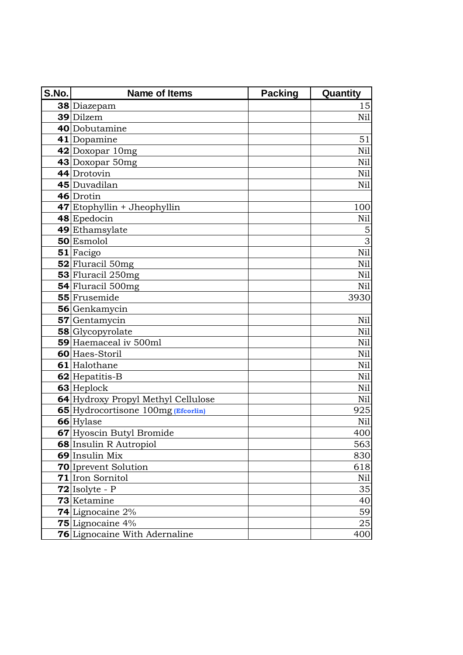| S.No. | <b>Name of Items</b>                 | <b>Packing</b> | Quantity       |
|-------|--------------------------------------|----------------|----------------|
|       | 38 Diazepam                          |                | 15             |
|       | 39 Dilzem                            |                | Nil            |
|       | 40 Dobutamine                        |                |                |
|       | $41$ Dopamine                        |                | 51             |
|       | $42$ Doxopar 10mg                    |                | Nil            |
|       | 43 Doxopar 50mg                      |                | Nil            |
|       | 44 Drotovin                          |                | Nil            |
|       | 45 Duvadilan                         |                | Nil            |
|       | 46 Drotin                            |                |                |
|       | $47$ Etophyllin + Jheophyllin        |                | 100            |
|       | 48 Epedocin                          |                | Nil            |
|       | 49 Ethamsylate                       |                | $\mathbf 5$    |
|       | 50 Esmolol                           |                | $\overline{3}$ |
|       | $51$ Facigo                          |                | Nil            |
|       | 52 Fluracil 50mg                     |                | Nil            |
|       | 53 Fluracil 250mg                    |                | Nil            |
|       | 54 Fluracil 500mg                    |                | Nil            |
|       | 55 Frusemide                         |                | 3930           |
|       | 56 Genkamycin                        |                |                |
|       | 57 Gentamycin                        |                | Nil            |
|       | 58 Glycopyrolate                     |                | Nil            |
|       | 59 Haemaceal iv 500ml                |                | Nil            |
|       | 60 Haes-Storil                       |                | Nil            |
|       | 61 Halothane                         |                | Nil            |
|       | 62 Hepatitis-B                       |                | Nil            |
|       | 63 Heplock                           |                | Nil            |
|       | 64 Hydroxy Propyl Methyl Cellulose   |                | Nil            |
|       | 65 Hydrocortisone 100mg (Efcorlin)   |                | 925            |
|       | 66 Hylase                            |                | Nil            |
|       | 67 Hyoscin Butyl Bromide             |                | 400            |
|       | <b>68</b> Insulin R Autropiol        |                | 563            |
|       | 69 Insulin Mix                       |                | 830            |
|       | <b>70</b> Iprevent Solution          |                | 618            |
|       | <b>71</b> Iron Sornitol              |                | Nil            |
|       | $72$ Isolyte - P                     |                | 35             |
|       | <b>73</b> Ketamine                   |                | 40             |
|       | <b>74</b> Lignocaine $2\%$           |                | 59             |
|       | <b>75</b> Lignocaine 4%              |                | 25             |
|       | <b>76</b> Lignocaine With Adernaline |                | 400            |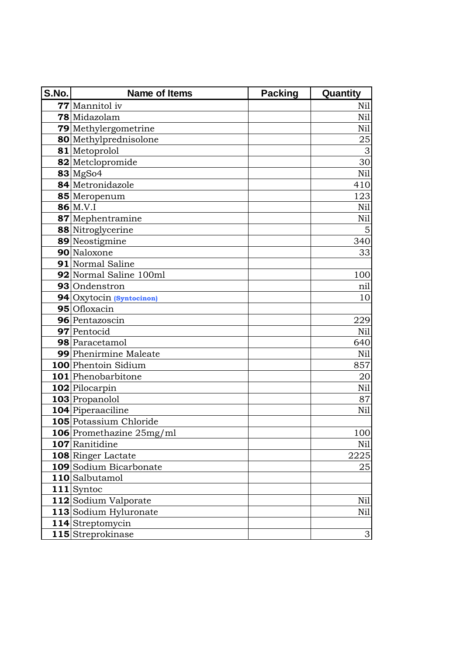| S.No. | <b>Name of Items</b>        | <b>Packing</b> | Quantity                  |
|-------|-----------------------------|----------------|---------------------------|
|       | 77 Mannitol iv              |                | Nil                       |
|       | 78 Midazolam                |                | Nil                       |
|       | <b>79</b> Methylergometrine |                | Nil                       |
|       | 80 Methylprednisolone       |                | 25                        |
|       | 81 Metoprolol               |                | $\ensuremath{\mathsf{3}}$ |
|       | 82 Metclopromide            |                | 30                        |
|       | $83$ MgSo4                  |                | Nil                       |
|       | 84 Metronidazole            |                | 410                       |
|       | 85 Meropenum                |                | 123                       |
|       | $86$ M.V.I                  |                | Nil                       |
|       | 87 Mephentramine            |                | Nil                       |
|       | <b>88</b> Nitroglycerine    |                | $\overline{5}$            |
|       | 89 Neostigmine              |                | 340                       |
|       | 90 Naloxone                 |                | 33                        |
|       | 91 Normal Saline            |                |                           |
|       | 92 Normal Saline 100ml      |                | 100                       |
|       | 93 Ondenstron               |                | nil                       |
|       | 94 Oxytocin (Syntocinon)    |                | 10                        |
|       | 95 Ofloxacin                |                |                           |
|       | 96 Pentazoscin              |                | 229                       |
|       | 97 Pentocid                 |                | Nil                       |
|       | 98 Paracetamol              |                | 640                       |
|       | 99 Phenirmine Maleate       |                | Nil                       |
|       | 100 Phentoin Sidium         |                | 857                       |
|       | 101 Phenobarbitone          |                | 20                        |
|       | 102 Pilocarpin              |                | Nil                       |
|       | 103 Propanolol              |                | 87                        |
|       | 104 Piperaaciline           |                | Nil                       |
|       | 105 Potassium Chloride      |                |                           |
|       | 106 Promethazine 25mg/ml    |                | 100                       |
|       | 107 Ranitidine              |                | Nil                       |
|       | 108 Ringer Lactate          |                | 2225                      |
|       | 109 Sodium Bicarbonate      |                | 25                        |
|       | 110 Salbutamol              |                |                           |
|       | $111$ Syntoc                |                |                           |
|       | 112 Sodium Valporate        |                | Nil                       |
|       | 113 Sodium Hyluronate       |                | Nil                       |
|       | 114 Streptomycin            |                |                           |
|       | 115 Streprokinase           |                | $\ensuremath{\mathsf{3}}$ |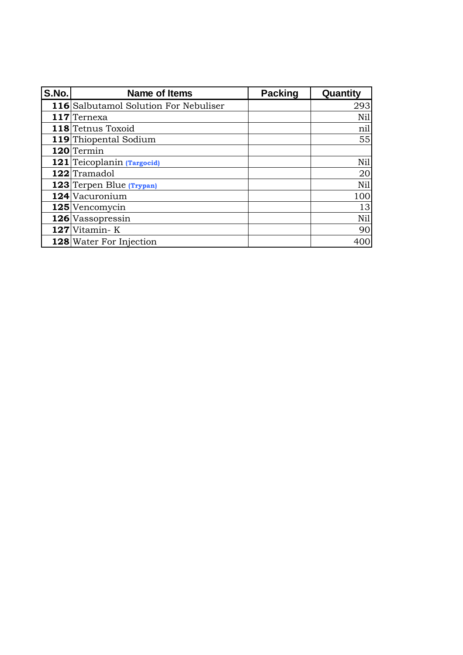| S.No. | Name of Items                                | <b>Packing</b> | Quantity |
|-------|----------------------------------------------|----------------|----------|
|       | <b>116</b> Salbutamol Solution For Nebuliser |                | 293      |
|       | 117 Ternexa                                  |                | Nil      |
|       | 118 Tetnus Toxoid                            |                | nil      |
|       | 119 Thiopental Sodium                        |                | 55       |
|       | 120 Termin                                   |                |          |
|       | 121 Teicoplanin (Targocid)                   |                | Nil      |
|       | 122 Tramadol                                 |                | 20       |
|       | 123 Terpen Blue (Trypan)                     |                | Nil      |
|       | 124 Vacuronium                               |                | 100      |
|       | 125 Vencomycin                               |                | 13       |
|       | 126 Vassopressin                             |                | Nil      |
|       | 127 Vitamin-K                                |                | 90       |
|       | <b>128</b> Water For Injection               |                |          |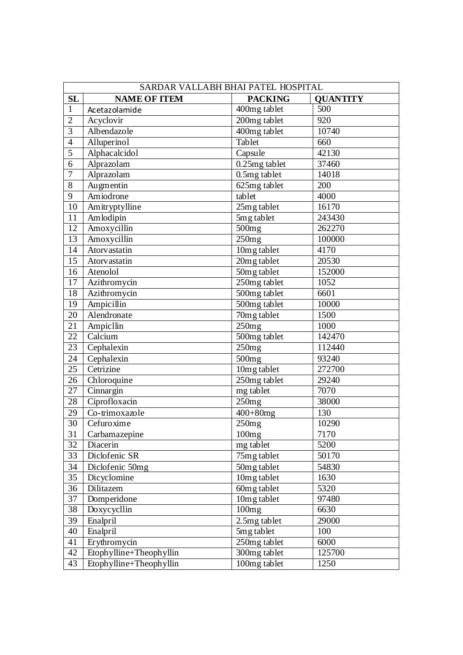|                 | SARDAR VALLABH BHAI PATEL HOSPITAL |                            |                   |  |
|-----------------|------------------------------------|----------------------------|-------------------|--|
| SL              | <b>NAME OF ITEM</b>                | <b>PACKING</b>             | <b>QUANTITY</b>   |  |
| $\mathbf{1}$    | Acetazolamide                      | 400mg tablet               | 500               |  |
| $\overline{2}$  | Acyclovir                          | 200mg tablet               | 920               |  |
| $\overline{3}$  | Albendazole                        | 400mg tablet               | 10740             |  |
| $\overline{4}$  | Alluperinol                        | Tablet                     | 660               |  |
| 5               | Alphacalcidol                      | Capsule                    | 42130             |  |
| 6               | Alprazolam                         | 0.25mg tablet              | 37460             |  |
| $\overline{7}$  | Alprazolam                         | 0.5mg tablet               | 14018             |  |
| 8               | Augmentin                          | 625mg tablet               | 200               |  |
| $\overline{9}$  | Amiodrone                          | tablet                     | $40\overline{00}$ |  |
| 10              | Amitryptylline                     | 25mg tablet                | 16170             |  |
| 11              | Amlodipin                          | $5mg$ tablet               | 243430            |  |
| 12              | Amoxycillin                        | 500mg                      | 262270            |  |
| 13              | Amoxycillin                        | $\overline{250}$ mg        | 100000            |  |
| 14              | Atorvastatin                       | 10mg tablet                | 4170              |  |
| 15              | Atorvastatin                       | 20mg tablet                | 20530             |  |
| 16              | Atenolol                           | 50mg tablet                | 152000            |  |
| 17              | Azithromycin                       | 250mg tablet               | 1052              |  |
| 18              | Azithromycin                       | 500mg tablet               | 6601              |  |
| 19              | Ampicillin                         | 500mg tablet               | 10000             |  |
| 20              | Alendronate                        | 70mg tablet                | 1500              |  |
| 21              | Ampicllin                          | $\overline{2}50mg$         | 1000              |  |
| $\overline{22}$ | Calcium                            | 500mg tablet               | 142470            |  |
| 23              | Cephalexin                         | 250mg                      | 112440            |  |
| 24              | Cephalexin                         | 500mg                      | 93240             |  |
| 25              | Cetrizine                          | 10mg tablet                | 272700            |  |
| 26              | Chloroquine                        | $\overline{250}$ mg tablet | 29240             |  |
| 27              | Cinnargin                          | mg tablet                  | 7070              |  |
| 28              | Ciprofloxacin                      | 250mg                      | 38000             |  |
| 29              | Co-trimoxazole                     | 400+80mg                   | 130               |  |
| 30              | Cefuroxime                         | 250mg                      | 10290             |  |
| 31              | Carbamazepine                      | 100mg                      | 7170              |  |
| 32              | Diacerin                           | mg tablet                  | 5200              |  |
| 33              | Diclofenic SR                      | 75mg tablet                | 50170             |  |
| 34              | Diclofenic 50mg                    | 50mg tablet                | 54830             |  |
| 35              | Dicyclomine                        | 10mg tablet                | 1630              |  |
| 36              | Dilitazem                          | 60mg tablet                | 5320              |  |
| 37              | Domperidone                        | 10mg tablet                | 97480             |  |
| 38              | Doxycycllin                        | 100mg                      | 6630              |  |
| 39              | Enalpril                           | 2.5mg tablet               | 29000             |  |
| 40              | Enalpril                           | 5mg tablet                 | 100               |  |
| 41              | Erythromycin                       | $\overline{250}$ mg tablet | 6000              |  |
| 42              | Etophylline+Theophyllin            | 300mg tablet               | 125700            |  |
| 43              | Etophylline+Theophyllin            | 100mg tablet               | 1250              |  |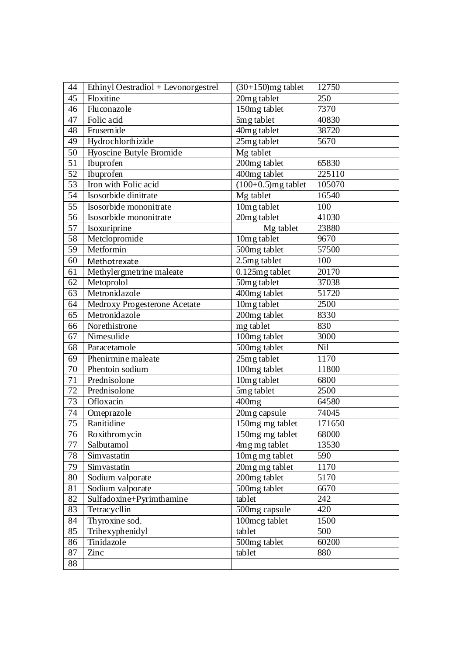| 44              | Ethinyl Oestradiol + Levonorgestrel | $(30+150)$ mg tablet       | 12750  |
|-----------------|-------------------------------------|----------------------------|--------|
| 45              | Floxitine                           | 20mg tablet                | 250    |
| 46              | Fluconazole                         | 150mg tablet               | 7370   |
| 47              | Folic acid                          | 5mg tablet                 | 40830  |
| 48              | Frusemide                           | 40mg tablet                | 38720  |
| 49              | Hydrochlorthizide                   | 25mg tablet                | 5670   |
| 50              | Hyoscine Butyle Bromide             | Mg tablet                  |        |
| 51              | Ibuprofen                           | 200mg tablet               | 65830  |
| 52              | Ibuprofen                           | 400mg tablet               | 225110 |
| 53              | Iron with Folic acid                | $(100+0.5)$ mg tablet      | 105070 |
| 54              | Isosorbide dinitrate                | Mg tablet                  | 16540  |
| 55              | Isosorbide mononitrate              | 10mg tablet                | 100    |
| 56              | Isosorbide mononitrate              | 20mg tablet                | 41030  |
| 57              | Isoxuriprine                        | Mg tablet                  | 23880  |
| 58              | Metclopromide                       | 10mg tablet                | 9670   |
| 59              | Metformin                           | 500mg tablet               | 57500  |
| 60              | Methotrexate                        | 2.5mg tablet               | 100    |
| 61              | Methylergmetrine maleate            | $0.125mg$ tablet           | 20170  |
| 62              | Metoprolol                          | 50mg tablet                | 37038  |
| 63              | Metronidazole                       | 400mg tablet               | 51720  |
| 64              | Medroxy Progesterone Acetate        | 10mg tablet                | 2500   |
| 65              | Metronidazole                       | 200mg tablet               | 8330   |
| 66              | Norethistrone                       | mg tablet                  | 830    |
| 67              | Nimesulide                          | 100mg tablet               | 3000   |
| 68              | Paracetamole                        | 500mg tablet               | Ni1    |
| 69              | Phenirmine maleate                  | 25mg tablet                | 1170   |
| 70              | Phentoin sodium                     | 100mg tablet               | 11800  |
| 71              | Prednisolone                        | 10mg tablet                | 6800   |
| 72              | Prednisolone                        | 5mg tablet                 | 2500   |
| 73              | Ofloxacin                           | 400mg                      | 64580  |
| 74              | Omeprazole                          | 20mg capsule               | 74045  |
| 75              | Ranitidine                          | 150mg mg tablet            | 171650 |
| 76              | Roxithrom ycin                      | 150mg mg tablet            | 68000  |
| 77              | Salbutamol                          | 4mg mg tablet              | 13530  |
| 78              | Simvastatin                         | 10mg mg tablet             | 590    |
| 79              | Simvastatin                         | 20mg mg tablet             | 1170   |
| 80              | Sodium valporate                    | 200mg tablet               | 5170   |
| 81              | Sodium valporate                    | 500mg tablet               | 6670   |
| 82              | Sulfadoxine+Pyrimthamine            | tablet                     | 242    |
| $\overline{83}$ | Tetracycllin                        | 500mg capsule              | 420    |
| 84              | Thyroxine sod.                      | 100mcg tablet              | 1500   |
| 85              | Trihexyphenidyl                     | tablet                     | 500    |
| 86              | Tinidazole                          | $\overline{500}$ mg tablet | 60200  |
| 87              | Zinc                                | tablet                     | 880    |
| 88              |                                     |                            |        |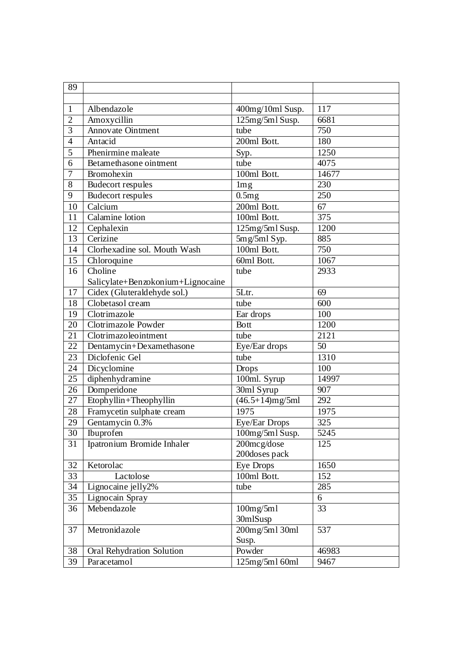| 89              |                                   |                      |       |
|-----------------|-----------------------------------|----------------------|-------|
|                 |                                   |                      |       |
| $\mathbf{1}$    | Albendazole                       | 400mg/10ml Susp.     | 117   |
| $\overline{2}$  | Amoxycillin                       | 125mg/5ml Susp.      | 6681  |
| $\overline{3}$  | Annovate Ointment                 | tube                 | 750   |
| $\overline{4}$  | Antacid                           | 200ml Bott.          | 180   |
| 5               | Phenirmine maleate                | Syp.                 | 1250  |
| 6               | Betamethasone ointment            | tube                 | 4075  |
| 7               | Bromohexin                        | 100ml Bott.          | 14677 |
| 8               | Budecort respules                 | $\ln g$              | 230   |
| $\overline{9}$  | Budecort respules                 | 0.5mg                | 250   |
| 10              | Calcium                           | 200ml Bott.          | 67    |
| 11              | Calamine lotion                   | 100ml Bott.          | 375   |
| 12              | Cephalexin                        | 125mg/5ml Susp.      | 1200  |
| 13              | Cerizine                          | $5mg/5ml$ Syp.       | 885   |
| 14              | Clorhexadine sol. Mouth Wash      | 100ml Bott.          | 750   |
| 15              | Chloroquine                       | 60ml Bott.           | 1067  |
| 16              | Choline                           | tube                 | 2933  |
|                 | Salicylate+Benzokonium+Lignocaine |                      |       |
| 17              | Cidex (Gluteraldehyde sol.)       | 5Ltr.                | 69    |
| 18              | Clobetasol cream                  | tube                 | 600   |
| 19              | Clotrimazole                      | Ear drops            | 100   |
| 20              | Clotrimazole Powder               | Bott                 | 1200  |
| 21              | Clotrimazoleointment              | tube                 | 2121  |
| 22              | Dentamycin+Dexamethasone          | Eye/Ear drops        | 50    |
| 23              | Diclofenic Gel                    | tube                 | 1310  |
| 24              | Dicyclomine                       | Drops                | 100   |
| 25              | diphenhydramine                   | 100ml. Syrup         | 14997 |
| 26              | Domperidone                       | 30ml Syrup           | 907   |
| 27              | Etophyllin+Theophyllin            | $(46.5 + 14)$ mg/5ml | 292   |
| 28              | Framycetin sulphate cream         | 1975                 | 1975  |
| 29              | Gentamycin 0.3%                   | Eye/Ear Drops        | 325   |
| $\overline{30}$ | Ibuprofen                         | 100mg/5ml Susp.      | 5245  |
| 31              | Ipatronium Bromide Inhaler        | 200mcg/dose          | 125   |
|                 |                                   | 200doses pack        |       |
| 32              | Ketorolac                         | Eye Drops            | 1650  |
| 33              | Lactolose                         | 100ml Bott.          | 152   |
| 34              | Lignocaine jelly2%                | tube                 | 285   |
| 35              | Lignocain Spray                   |                      | 6     |
| 36              | Mebendazole                       | 100mg/5m1            | 33    |
|                 |                                   | 30mlSusp             |       |
| 37              | Metronidazole                     | 200mg/5ml 30ml       | 537   |
|                 |                                   | Susp.                |       |
| 38              | Oral Rehydration Solution         | Powder               | 46983 |
| 39              | Paracetamol                       | $125mg/5ml$ 60ml     | 9467  |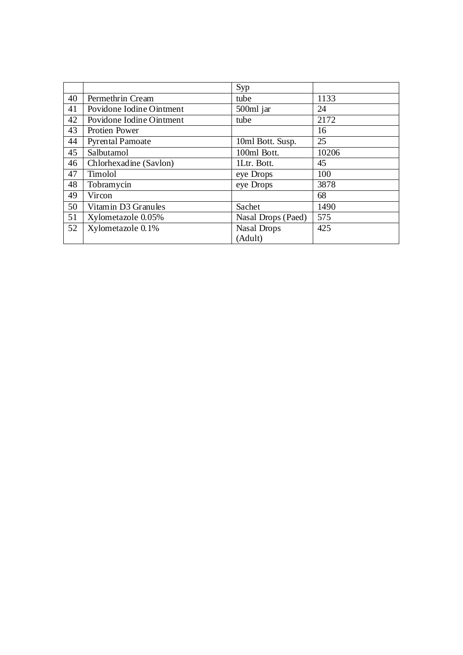|    |                          | Syp                |       |
|----|--------------------------|--------------------|-------|
| 40 | Permethrin Cream         | tube               | 1133  |
| 41 | Povidone Iodine Ointment | 500ml jar          | 24    |
| 42 | Povidone Iodine Ointment | tube               | 2172  |
| 43 | Protien Power            |                    | 16    |
| 44 | <b>Pyrental Pamoate</b>  | 10ml Bott. Susp.   | 25    |
| 45 | Salbutamol               | 100ml Bott.        | 10206 |
| 46 | Chlorhexadine (Savlon)   | 1Ltr. Bott.        | 45    |
| 47 | Timolol                  | eye Drops          | 100   |
| 48 | Tobramycin               | eye Drops          | 3878  |
| 49 | Vircon                   |                    | 68    |
| 50 | Vitamin D3 Granules      | Sachet             | 1490  |
| 51 | Xylometazole 0.05%       | Nasal Drops (Paed) | 575   |
| 52 | Xylometazole 0.1%        | Nasal Drops        | 425   |
|    |                          | (Adult)            |       |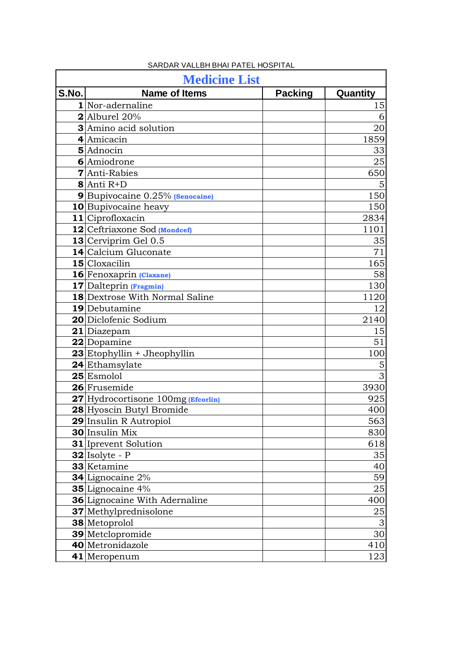| <b>Medicine List</b> |                                      |                |                 |
|----------------------|--------------------------------------|----------------|-----------------|
| S.No.                | <b>Name of Items</b>                 | <b>Packing</b> | Quantity        |
|                      | 1 Nor-adernaline                     |                | 15              |
|                      | $2$ Alburel 20%                      |                | 6               |
|                      | 3 Amino acid solution                |                | 20              |
|                      | 4 Amicacin                           |                | 1859            |
|                      | 5 Adnocin                            |                | 33              |
|                      | 6 Amiodrone                          |                | 25              |
|                      | <b>7</b> Anti-Rabies                 |                | 650             |
|                      | $8$ Anti R+D                         |                | 5               |
|                      | 9 Bupivocaine 0.25% (Senocaine)      |                | 150             |
|                      | 10 Bupivocaine heavy                 |                | 150             |
|                      | $11$  Ciprofloxacin                  |                | 2834            |
|                      | 12 Ceftriaxone Sod (Mondcef)         |                | 1101            |
|                      | 13 Cerviprim Gel 0.5                 |                | 35              |
|                      | 14 Calcium Gluconate                 |                | 71              |
|                      | 15 Cloxacilin                        |                | 165             |
|                      | 16 Fenoxaprin (Claxane)              |                | 58              |
|                      | 17 Dalteprin (Fragmin)               |                | 130             |
|                      | 18 Dextrose With Normal Saline       |                | 1120            |
|                      | 19 Debutamine                        |                | 12              |
|                      | 20 Diclofenic Sodium                 |                | 2140            |
|                      | 21 Diazepam                          |                | 15              |
|                      | 22 Dopamine                          |                | 51              |
|                      | 23 Etophyllin + Jheophyllin          |                | 100             |
|                      | 24 Ethamsylate                       |                | 5               |
|                      | $25$ <i>Esmolol</i>                  |                | 3               |
|                      | 26 Frusemide                         |                | 3930            |
|                      | 27 Hydrocortisone 100mg (Efcorlin)   |                | 925             |
|                      | 28 Hyoscin Butyl Bromide             |                | 400             |
|                      | 29 Insulin R Autropiol               |                | 563             |
|                      | 30 Insulin Mix                       |                | 830             |
|                      | <b>31</b> Iprevent Solution          |                | 618             |
|                      | $32$ Isolyte - P                     |                | 35              |
|                      | 33 Ketamine                          |                | 40              |
|                      | <b>34</b> Lignocaine $2\%$           |                | 59              |
|                      | <b>35</b> Lignocaine 4%              |                | 25              |
|                      | <b>36</b> Lignocaine With Adernaline |                | 400             |
|                      | <b>37</b> Methylprednisolone         |                | $\overline{25}$ |
|                      | 38 Metoprolol                        |                | $\overline{3}$  |
|                      | 39 Metclopromide                     |                | 30              |
|                      | 40 Metronidazole                     |                | 410             |
|                      | 41 Meropenum                         |                | 123             |

## SARDAR VALLBH BHAI PATEL HOSPITAL